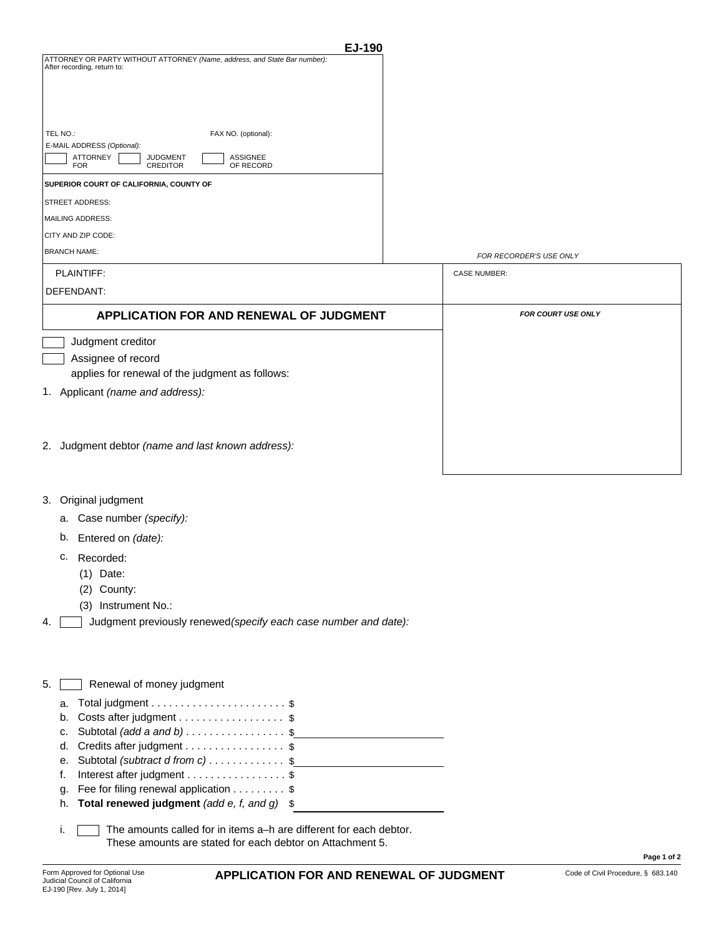| EJ-190                                                                                                                     |                           |  |
|----------------------------------------------------------------------------------------------------------------------------|---------------------------|--|
| ATTORNEY OR PARTY WITHOUT ATTORNEY (Name, address, and State Bar number):<br>After recording, return to:                   |                           |  |
| TEL NO.:<br>FAX NO. (optional):                                                                                            |                           |  |
| E-MAIL ADDRESS (Optional):<br>ATTORNEY<br><b>ASSIGNEE</b><br><b>JUDGMENT</b><br><b>FOR</b><br><b>CREDITOR</b><br>OF RECORD |                           |  |
| SUPERIOR COURT OF CALIFORNIA, COUNTY OF                                                                                    |                           |  |
| STREET ADDRESS:                                                                                                            |                           |  |
| MAILING ADDRESS:                                                                                                           |                           |  |
| CITY AND ZIP CODE:                                                                                                         |                           |  |
| <b>BRANCH NAME:</b>                                                                                                        | FOR RECORDER'S USE ONLY   |  |
| PLAINTIFF:                                                                                                                 | <b>CASE NUMBER:</b>       |  |
| DEFENDANT:                                                                                                                 |                           |  |
| <b>APPLICATION FOR AND RENEWAL OF JUDGMENT</b>                                                                             | <b>FOR COURT USE ONLY</b> |  |
| Judgment creditor                                                                                                          |                           |  |
| Assignee of record                                                                                                         |                           |  |
| applies for renewal of the judgment as follows:                                                                            |                           |  |
| 1. Applicant (name and address):                                                                                           |                           |  |
| 2. Judgment debtor (name and last known address):                                                                          |                           |  |

- 3. Original judgment
	- Case number *(specify):* a.
	- b. Entered on *(date):*
	- c. Recorded:
		- (1) Date:
		- (2) County:
		- (3) Instrument No.:
- 4.  $\Box$  Judgment previously renewed (specify each case number and date):

| 5. Renewal of money judgment |  |
|------------------------------|--|
|------------------------------|--|

| b. Costs after judgment \$                                       |  |
|------------------------------------------------------------------|--|
| c. Subtotal $(\text{add a and b}) \dots \dots \dots \dots \dots$ |  |
| d. Credits after judgment \$                                     |  |
| e. Subtotal (subtract d from c)\$                                |  |
| f. Interest after judgment \$                                    |  |
| g. Fee for filing renewal application $\ldots \ldots$ \$         |  |
| h. Total renewed judgment (add e, f, and q) $\$$                 |  |
|                                                                  |  |

i. The amounts called for in items a–h are different for each debtor. These amounts are stated for each debtor on Attachment 5.